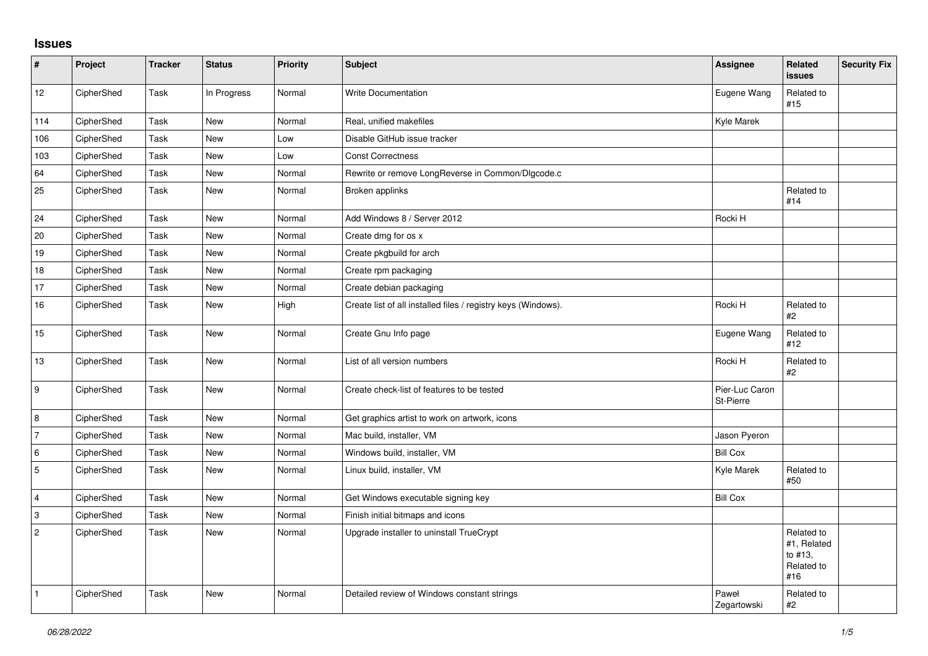## **Issues**

| $\vert$ #      | Project    | <b>Tracker</b> | <b>Status</b> | Priority | <b>Subject</b>                                                | Assignee                    | Related<br><b>issues</b>                                  | <b>Security Fix</b> |
|----------------|------------|----------------|---------------|----------|---------------------------------------------------------------|-----------------------------|-----------------------------------------------------------|---------------------|
| 12             | CipherShed | Task           | In Progress   | Normal   | Write Documentation                                           | Eugene Wang                 | Related to<br>#15                                         |                     |
| 114            | CipherShed | Task           | <b>New</b>    | Normal   | Real, unified makefiles                                       | Kyle Marek                  |                                                           |                     |
| 106            | CipherShed | Task           | <b>New</b>    | Low      | Disable GitHub issue tracker                                  |                             |                                                           |                     |
| 103            | CipherShed | Task           | <b>New</b>    | Low      | <b>Const Correctness</b>                                      |                             |                                                           |                     |
| 64             | CipherShed | Task           | <b>New</b>    | Normal   | Rewrite or remove LongReverse in Common/Dlgcode.c             |                             |                                                           |                     |
| 25             | CipherShed | Task           | New           | Normal   | Broken applinks                                               |                             | Related to<br>#14                                         |                     |
| 24             | CipherShed | Task           | <b>New</b>    | Normal   | Add Windows 8 / Server 2012                                   | Rocki H                     |                                                           |                     |
| 20             | CipherShed | Task           | New           | Normal   | Create dmg for os x                                           |                             |                                                           |                     |
| 19             | CipherShed | Task           | <b>New</b>    | Normal   | Create pkgbuild for arch                                      |                             |                                                           |                     |
| 18             | CipherShed | Task           | <b>New</b>    | Normal   | Create rpm packaging                                          |                             |                                                           |                     |
| 17             | CipherShed | Task           | New           | Normal   | Create debian packaging                                       |                             |                                                           |                     |
| 16             | CipherShed | Task           | New           | High     | Create list of all installed files / registry keys (Windows). | Rocki H                     | Related to<br>#2                                          |                     |
| 15             | CipherShed | Task           | New           | Normal   | Create Gnu Info page                                          | Eugene Wang                 | Related to<br>#12                                         |                     |
| 13             | CipherShed | Task           | <b>New</b>    | Normal   | List of all version numbers                                   | Rocki H                     | Related to<br>#2                                          |                     |
| 9              | CipherShed | Task           | New           | Normal   | Create check-list of features to be tested                    | Pier-Luc Caron<br>St-Pierre |                                                           |                     |
| 8              | CipherShed | Task           | <b>New</b>    | Normal   | Get graphics artist to work on artwork, icons                 |                             |                                                           |                     |
| l 7            | CipherShed | Task           | New           | Normal   | Mac build, installer, VM                                      | Jason Pyeron                |                                                           |                     |
| 6              | CipherShed | Task           | New           | Normal   | Windows build, installer, VM                                  | <b>Bill Cox</b>             |                                                           |                     |
| 5              | CipherShed | Task           | <b>New</b>    | Normal   | Linux build, installer, VM                                    | Kyle Marek                  | Related to<br>#50                                         |                     |
| $\overline{4}$ | CipherShed | Task           | <b>New</b>    | Normal   | Get Windows executable signing key                            | <b>Bill Cox</b>             |                                                           |                     |
| $\vert$ 3      | CipherShed | Task           | <b>New</b>    | Normal   | Finish initial bitmaps and icons                              |                             |                                                           |                     |
| $\overline{2}$ | CipherShed | Task           | New           | Normal   | Upgrade installer to uninstall TrueCrypt                      |                             | Related to<br>#1, Related<br>to #13,<br>Related to<br>#16 |                     |
| $\vert$ 1      | CipherShed | Task           | <b>New</b>    | Normal   | Detailed review of Windows constant strings                   | Paweł<br>Zegartowski        | Related to<br>#2                                          |                     |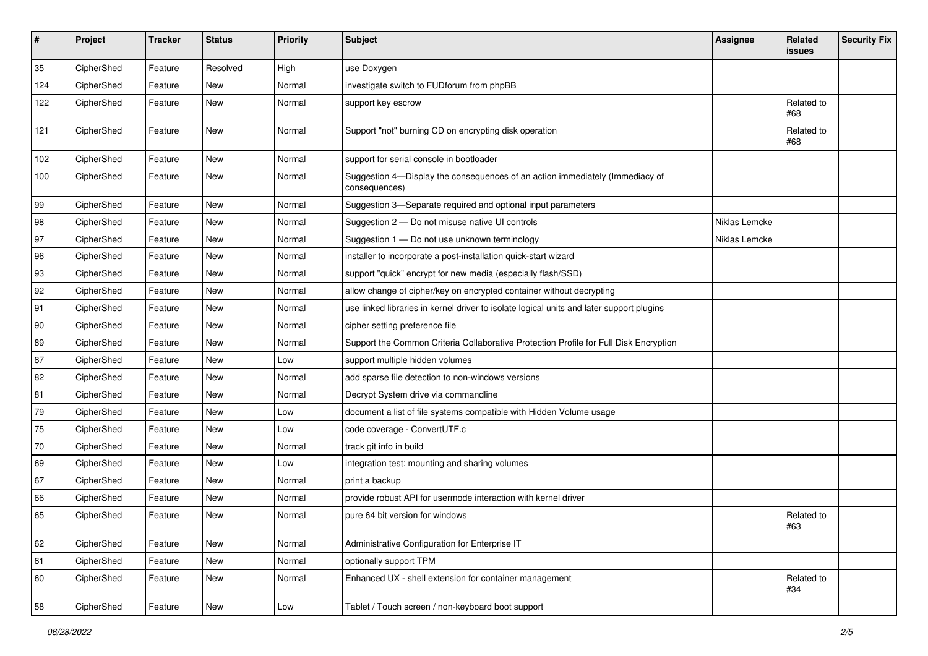| #   | Project    | <b>Tracker</b> | <b>Status</b> | <b>Priority</b> | <b>Subject</b>                                                                                | <b>Assignee</b> | Related<br>issues | <b>Security Fix</b> |
|-----|------------|----------------|---------------|-----------------|-----------------------------------------------------------------------------------------------|-----------------|-------------------|---------------------|
| 35  | CipherShed | Feature        | Resolved      | High            | use Doxygen                                                                                   |                 |                   |                     |
| 124 | CipherShed | Feature        | New           | Normal          | investigate switch to FUDforum from phpBB                                                     |                 |                   |                     |
| 122 | CipherShed | Feature        | New           | Normal          | support key escrow                                                                            |                 | Related to<br>#68 |                     |
| 121 | CipherShed | Feature        | New           | Normal          | Support "not" burning CD on encrypting disk operation                                         |                 | Related to<br>#68 |                     |
| 102 | CipherShed | Feature        | <b>New</b>    | Normal          | support for serial console in bootloader                                                      |                 |                   |                     |
| 100 | CipherShed | Feature        | New           | Normal          | Suggestion 4-Display the consequences of an action immediately (Immediacy of<br>consequences) |                 |                   |                     |
| 99  | CipherShed | Feature        | <b>New</b>    | Normal          | Suggestion 3-Separate required and optional input parameters                                  |                 |                   |                     |
| 98  | CipherShed | Feature        | New           | Normal          | Suggestion 2 - Do not misuse native UI controls                                               | Niklas Lemcke   |                   |                     |
| 97  | CipherShed | Feature        | <b>New</b>    | Normal          | Suggestion 1 - Do not use unknown terminology                                                 | Niklas Lemcke   |                   |                     |
| 96  | CipherShed | Feature        | New           | Normal          | installer to incorporate a post-installation quick-start wizard                               |                 |                   |                     |
| 93  | CipherShed | Feature        | <b>New</b>    | Normal          | support "quick" encrypt for new media (especially flash/SSD)                                  |                 |                   |                     |
| 92  | CipherShed | Feature        | New           | Normal          | allow change of cipher/key on encrypted container without decrypting                          |                 |                   |                     |
| 91  | CipherShed | Feature        | New           | Normal          | use linked libraries in kernel driver to isolate logical units and later support plugins      |                 |                   |                     |
| 90  | CipherShed | Feature        | <b>New</b>    | Normal          | cipher setting preference file                                                                |                 |                   |                     |
| 89  | CipherShed | Feature        | New           | Normal          | Support the Common Criteria Collaborative Protection Profile for Full Disk Encryption         |                 |                   |                     |
| 87  | CipherShed | Feature        | <b>New</b>    | Low             | support multiple hidden volumes                                                               |                 |                   |                     |
| 82  | CipherShed | Feature        | New           | Normal          | add sparse file detection to non-windows versions                                             |                 |                   |                     |
| 81  | CipherShed | Feature        | New           | Normal          | Decrypt System drive via commandline                                                          |                 |                   |                     |
| 79  | CipherShed | Feature        | <b>New</b>    | Low             | document a list of file systems compatible with Hidden Volume usage                           |                 |                   |                     |
| 75  | CipherShed | Feature        | New           | Low             | code coverage - ConvertUTF.c                                                                  |                 |                   |                     |
| 70  | CipherShed | Feature        | New           | Normal          | track git info in build                                                                       |                 |                   |                     |
| 69  | CipherShed | Feature        | New           | Low             | integration test: mounting and sharing volumes                                                |                 |                   |                     |
| 67  | CipherShed | Feature        | New           | Normal          | print a backup                                                                                |                 |                   |                     |
| 66  | CipherShed | Feature        | New           | Normal          | provide robust API for usermode interaction with kernel driver                                |                 |                   |                     |
| 65  | CipherShed | Feature        | New           | Normal          | pure 64 bit version for windows                                                               |                 | Related to<br>#63 |                     |
| 62  | CipherShed | Feature        | New           | Normal          | Administrative Configuration for Enterprise IT                                                |                 |                   |                     |
| 61  | CipherShed | Feature        | New           | Normal          | optionally support TPM                                                                        |                 |                   |                     |
| 60  | CipherShed | Feature        | New           | Normal          | Enhanced UX - shell extension for container management                                        |                 | Related to<br>#34 |                     |
| 58  | CipherShed | Feature        | New           | Low             | Tablet / Touch screen / non-keyboard boot support                                             |                 |                   |                     |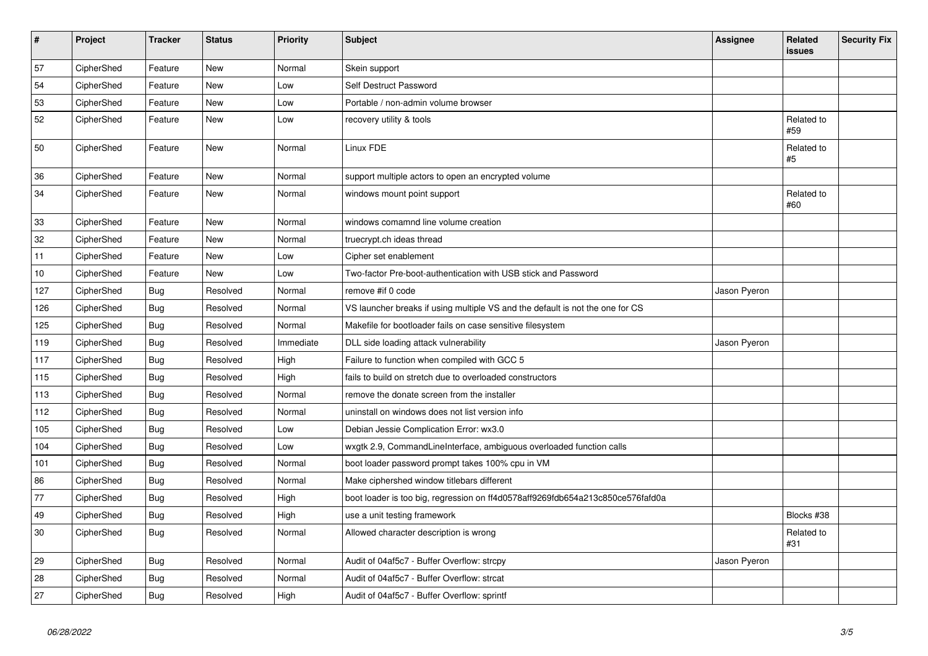| $\vert$ # | Project    | <b>Tracker</b> | <b>Status</b> | <b>Priority</b> | <b>Subject</b>                                                                 | Assignee     | <b>Related</b><br><b>issues</b> | <b>Security Fix</b> |
|-----------|------------|----------------|---------------|-----------------|--------------------------------------------------------------------------------|--------------|---------------------------------|---------------------|
| 57        | CipherShed | Feature        | <b>New</b>    | Normal          | Skein support                                                                  |              |                                 |                     |
| 54        | CipherShed | Feature        | New           | Low             | Self Destruct Password                                                         |              |                                 |                     |
| 53        | CipherShed | Feature        | <b>New</b>    | Low             | Portable / non-admin volume browser                                            |              |                                 |                     |
| 52        | CipherShed | Feature        | <b>New</b>    | Low             | recovery utility & tools                                                       |              | Related to<br>#59               |                     |
| 50        | CipherShed | Feature        | New           | Normal          | Linux FDE                                                                      |              | Related to<br>#5                |                     |
| 36        | CipherShed | Feature        | New           | Normal          | support multiple actors to open an encrypted volume                            |              |                                 |                     |
| 34        | CipherShed | Feature        | New           | Normal          | windows mount point support                                                    |              | Related to<br>#60               |                     |
| 33        | CipherShed | Feature        | New           | Normal          | windows comamnd line volume creation                                           |              |                                 |                     |
| 32        | CipherShed | Feature        | New           | Normal          | truecrypt.ch ideas thread                                                      |              |                                 |                     |
| 11        | CipherShed | Feature        | <b>New</b>    | Low             | Cipher set enablement                                                          |              |                                 |                     |
| 10        | CipherShed | Feature        | <b>New</b>    | Low             | Two-factor Pre-boot-authentication with USB stick and Password                 |              |                                 |                     |
| 127       | CipherShed | <b>Bug</b>     | Resolved      | Normal          | remove #if 0 code                                                              | Jason Pyeron |                                 |                     |
| 126       | CipherShed | <b>Bug</b>     | Resolved      | Normal          | VS launcher breaks if using multiple VS and the default is not the one for CS  |              |                                 |                     |
| 125       | CipherShed | <b>Bug</b>     | Resolved      | Normal          | Makefile for bootloader fails on case sensitive filesystem                     |              |                                 |                     |
| 119       | CipherShed | Bug            | Resolved      | Immediate       | DLL side loading attack vulnerability                                          | Jason Pyeron |                                 |                     |
| 117       | CipherShed | Bug            | Resolved      | High            | Failure to function when compiled with GCC 5                                   |              |                                 |                     |
| 115       | CipherShed | <b>Bug</b>     | Resolved      | High            | fails to build on stretch due to overloaded constructors                       |              |                                 |                     |
| 113       | CipherShed | <b>Bug</b>     | Resolved      | Normal          | remove the donate screen from the installer                                    |              |                                 |                     |
| 112       | CipherShed | Bug            | Resolved      | Normal          | uninstall on windows does not list version info                                |              |                                 |                     |
| 105       | CipherShed | <b>Bug</b>     | Resolved      | Low             | Debian Jessie Complication Error: wx3.0                                        |              |                                 |                     |
| 104       | CipherShed | <b>Bug</b>     | Resolved      | Low             | wxgtk 2.9, CommandLineInterface, ambiguous overloaded function calls           |              |                                 |                     |
| 101       | CipherShed | <b>Bug</b>     | Resolved      | Normal          | boot loader password prompt takes 100% cpu in VM                               |              |                                 |                     |
| 86        | CipherShed | Bug            | Resolved      | Normal          | Make ciphershed window titlebars different                                     |              |                                 |                     |
| 77        | CipherShed | <b>Bug</b>     | Resolved      | High            | boot loader is too big, regression on ff4d0578aff9269fdb654a213c850ce576fafd0a |              |                                 |                     |
| 49        | CipherShed | <b>Bug</b>     | Resolved      | High            | use a unit testing framework                                                   |              | Blocks #38                      |                     |
| 30        | CipherShed | <b>Bug</b>     | Resolved      | Normal          | Allowed character description is wrong                                         |              | Related to<br>#31               |                     |
| 29        | CipherShed | <b>Bug</b>     | Resolved      | Normal          | Audit of 04af5c7 - Buffer Overflow: strcpy                                     | Jason Pyeron |                                 |                     |
| 28        | CipherShed | <b>Bug</b>     | Resolved      | Normal          | Audit of 04af5c7 - Buffer Overflow: strcat                                     |              |                                 |                     |
| 27        | CipherShed | Bug            | Resolved      | High            | Audit of 04af5c7 - Buffer Overflow: sprintf                                    |              |                                 |                     |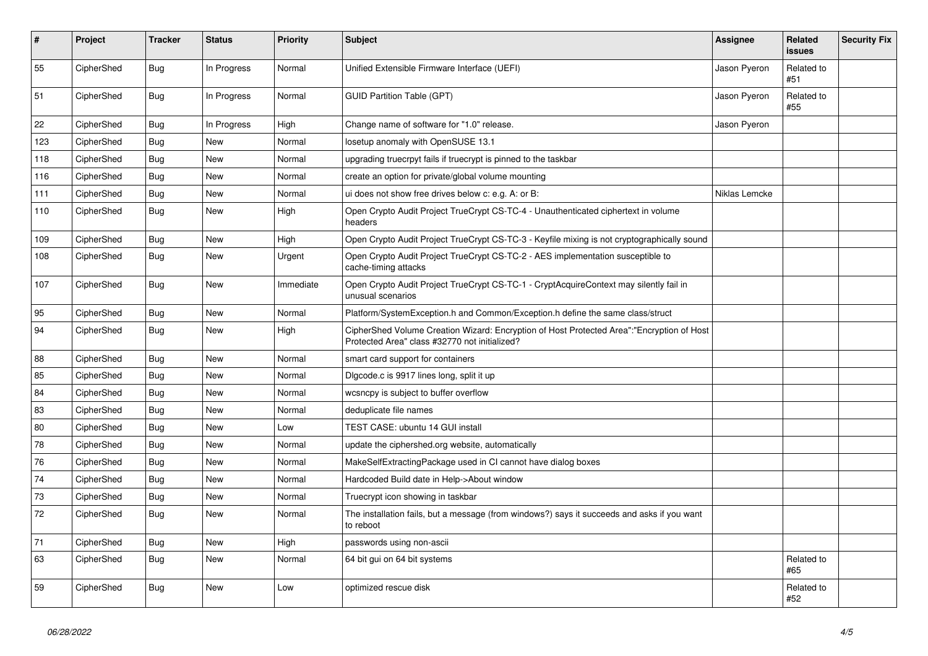| ∦   | Project    | <b>Tracker</b> | <b>Status</b> | Priority  | <b>Subject</b>                                                                                                                             | Assignee      | <b>Related</b><br><b>issues</b> | <b>Security Fix</b> |
|-----|------------|----------------|---------------|-----------|--------------------------------------------------------------------------------------------------------------------------------------------|---------------|---------------------------------|---------------------|
| 55  | CipherShed | <b>Bug</b>     | In Progress   | Normal    | Unified Extensible Firmware Interface (UEFI)                                                                                               | Jason Pyeron  | Related to<br>#51               |                     |
| 51  | CipherShed | Bug            | In Progress   | Normal    | <b>GUID Partition Table (GPT)</b>                                                                                                          | Jason Pyeron  | Related to<br>#55               |                     |
| 22  | CipherShed | Bug            | In Progress   | High      | Change name of software for "1.0" release.                                                                                                 | Jason Pyeron  |                                 |                     |
| 123 | CipherShed | <b>Bug</b>     | New           | Normal    | losetup anomaly with OpenSUSE 13.1                                                                                                         |               |                                 |                     |
| 118 | CipherShed | Bug            | <b>New</b>    | Normal    | upgrading truecrpyt fails if truecrypt is pinned to the taskbar                                                                            |               |                                 |                     |
| 116 | CipherShed | Bug            | New           | Normal    | create an option for private/global volume mounting                                                                                        |               |                                 |                     |
| 111 | CipherShed | Bug            | New           | Normal    | ui does not show free drives below c: e.g. A: or B:                                                                                        | Niklas Lemcke |                                 |                     |
| 110 | CipherShed | <b>Bug</b>     | New           | High      | Open Crypto Audit Project TrueCrypt CS-TC-4 - Unauthenticated ciphertext in volume<br>headers                                              |               |                                 |                     |
| 109 | CipherShed | <b>Bug</b>     | <b>New</b>    | High      | Open Crypto Audit Project TrueCrypt CS-TC-3 - Keyfile mixing is not cryptographically sound                                                |               |                                 |                     |
| 108 | CipherShed | Bug            | <b>New</b>    | Urgent    | Open Crypto Audit Project TrueCrypt CS-TC-2 - AES implementation susceptible to<br>cache-timing attacks                                    |               |                                 |                     |
| 107 | CipherShed | <b>Bug</b>     | New           | Immediate | Open Crypto Audit Project TrueCrypt CS-TC-1 - CryptAcquireContext may silently fail in<br>unusual scenarios                                |               |                                 |                     |
| 95  | CipherShed | <b>Bug</b>     | New           | Normal    | Platform/SystemException.h and Common/Exception.h define the same class/struct                                                             |               |                                 |                     |
| 94  | CipherShed | Bug            | New           | High      | CipherShed Volume Creation Wizard: Encryption of Host Protected Area":"Encryption of Host<br>Protected Area" class #32770 not initialized? |               |                                 |                     |
| 88  | CipherShed | Bug            | New           | Normal    | smart card support for containers                                                                                                          |               |                                 |                     |
| 85  | CipherShed | Bug            | <b>New</b>    | Normal    | Digcode.c is 9917 lines long, split it up                                                                                                  |               |                                 |                     |
| 84  | CipherShed | Bug            | New           | Normal    | wcsncpy is subject to buffer overflow                                                                                                      |               |                                 |                     |
| 83  | CipherShed | Bug            | <b>New</b>    | Normal    | deduplicate file names                                                                                                                     |               |                                 |                     |
| 80  | CipherShed | <b>Bug</b>     | New           | Low       | TEST CASE: ubuntu 14 GUI install                                                                                                           |               |                                 |                     |
| 78  | CipherShed | <b>Bug</b>     | <b>New</b>    | Normal    | update the ciphershed.org website, automatically                                                                                           |               |                                 |                     |
| 76  | CipherShed | <b>Bug</b>     | <b>New</b>    | Normal    | MakeSelfExtractingPackage used in CI cannot have dialog boxes                                                                              |               |                                 |                     |
| 74  | CipherShed | <b>Bug</b>     | New           | Normal    | Hardcoded Build date in Help->About window                                                                                                 |               |                                 |                     |
| 73  | CipherShed | <b>Bug</b>     | New           | Normal    | Truecrypt icon showing in taskbar                                                                                                          |               |                                 |                     |
| 72  | CipherShed | Bug            | New           | Normal    | The installation fails, but a message (from windows?) says it succeeds and asks if you want<br>to reboot                                   |               |                                 |                     |
| 71  | CipherShed | <b>Bug</b>     | New           | High      | passwords using non-ascii                                                                                                                  |               |                                 |                     |
| 63  | CipherShed | Bug            | New           | Normal    | 64 bit gui on 64 bit systems                                                                                                               |               | Related to<br>#65               |                     |
| 59  | CipherShed | Bug            | New           | Low       | optimized rescue disk                                                                                                                      |               | Related to<br>#52               |                     |